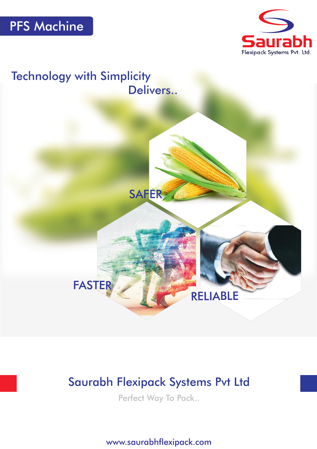





# Saurabh Flexipack Systems Pvt Ltd

Perfect Way To Pack..

www.saurabhflexipack.com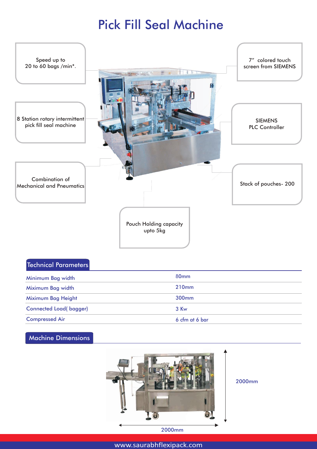# Pick Fill Seal Machine



## Technical Parameters

| Minimum Bag width             | 80 <sub>mm</sub>  |
|-------------------------------|-------------------|
| Miximum Bag width             | 210mm             |
| Miximum Bag Height            | 300 <sub>mm</sub> |
| <b>Connected Load(bagger)</b> | 3 Kw              |
| <b>Compressed Air</b>         | 6 cfm at 6 bar    |

# Machine Dimensions



2000mm

2000mm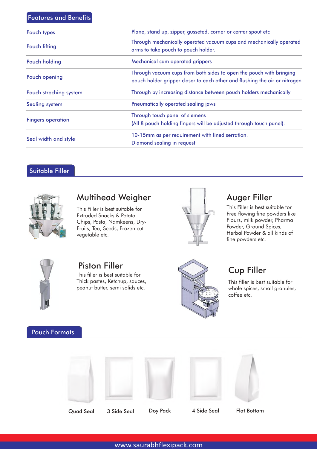### Features and Benefits

| Pouch types              | Plane, stand up, zipper, gusseted, corner or center spout etc                                                                                     |
|--------------------------|---------------------------------------------------------------------------------------------------------------------------------------------------|
| Pouch lifting            | Through mechanically operated vacuum cups and mechanically operated<br>arms to take pouch to pouch holder.                                        |
| Pouch holding            | Mechanical cam operated grippers                                                                                                                  |
| Pouch opening            | Through vacuum cups from both sides to open the pouch with bringing<br>pouch holder gripper closer to each other and flushing the air or nitrogen |
| Pouch streching system   | Through by increasing distance between pouch holders mechanically                                                                                 |
| <b>Sealing system</b>    | Pneumatically operated sealing jaws                                                                                                               |
| <b>Fingers operation</b> | Through touch panel of siemens<br>(All 8 pouch holding fingers will be adjusted through touch panel).                                             |
| Seal width and style     | 10-15mm as per requirement with lined serration.<br>Diamond sealing in request                                                                    |

# Suitable Filler



# Multihead Weigher **Auger Filler**

This Filler is best suitable for Extruded Snacks & Potato Chips, Pasta, Namkeens, Dry-Fruits, Tea, Seeds, Frozen cut vegetable etc.



This Filler is best suitable for Free flowing fine powders like Flours, milk powder, Pharma Powder, Ground Spices, Herbal Powder & all kinds of fine powders etc.



This filler is best suitable for Thick pastes, Ketchup, sauces, peanut butter, semi solids etc.



This filler is best suitable for whole spices, small granules, coffee etc.

## Pouch Formats











Quad Seal 3 Side Seal Doy Pack 4 Side Seal Flat Bottom